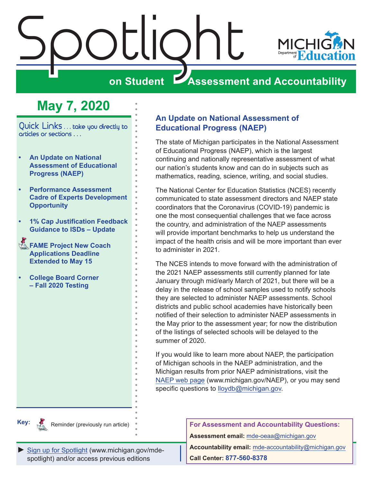<span id="page-0-0"></span>

# **May 7, 2020**

Quick Links . . . take you directly to articles or sections . . .

- **• An Update on National Assessment of Educational Progress (NAEP)**
- **• [Performance Assessment](#page-1-0)  [Cadre of Experts Development](#page-1-0)  [Opportunity](#page-1-0)**
- **• [1% Cap Justification Feedback](#page-2-0)  [Guidance to ISDs – Update](#page-2-0)**
- **FAME Project New Coach [Applications Deadline](#page-2-0)  [Extended to May 15](#page-2-0)**
- **• [College Board Corner](#page-3-0) [– Fall 2020 Testing](#page-3-0)**

#### **An Update on National Assessment of Educational Progress (NAEP)**

The state of Michigan participates in the National Assessment of Educational Progress (NAEP), which is the largest continuing and nationally representative assessment of what our nation's students know and can do in subjects such as mathematics, reading, science, writing, and social studies.

The National Center for Education Statistics (NCES) recently communicated to state assessment directors and NAEP state coordinators that the Coronavirus (COVID-19) pandemic is one the most consequential challenges that we face across the country, and administration of the NAEP assessments will provide important benchmarks to help us understand the impact of the health crisis and will be more important than ever to administer in 2021.

The NCES intends to move forward with the administration of the 2021 NAEP assessments still currently planned for late January through mid/early March of 2021, but there will be a delay in the release of school samples used to notify schools they are selected to administer NAEP assessments. School districts and public school academies have historically been notified of their selection to administer NAEP assessments in the May prior to the assessment year; for now the distribution of the listings of selected schools will be delayed to the summer of 2020.

If you would like to learn more about NAEP, the participation of Michigan schools in the NAEP administration, and the Michigan results from prior NAEP administrations, visit the [NAEP web page](http://www.michigan.gov/NAEP) (www.michigan.gov/NAEP), or you may send specific questions to [lloydb@michigan.gov.](mailto:lloydb%40michigan.gov?subject=)



Reminder (previously run article)

[Sign up for Spotlight](https://public.govdelivery.com/accounts/MIMDE/subscriber/new) [\(www.michigan.gov/mde](www.michigan.gov/mde-spotlight)spotlight) and/or access previous editions

**For Assessment and Accountability Questions: Assessment email:** mde-oeaa[@michigan.gov](mailto:mde-oeaa%40michigan.gov?subject=assessment%20question)

**Accountability email:** mde[-accountability@michigan.gov](mailto:MDE-Accountability%40michigan.gov?subject=Accountability%20question) **Call Center: 877-560-8378**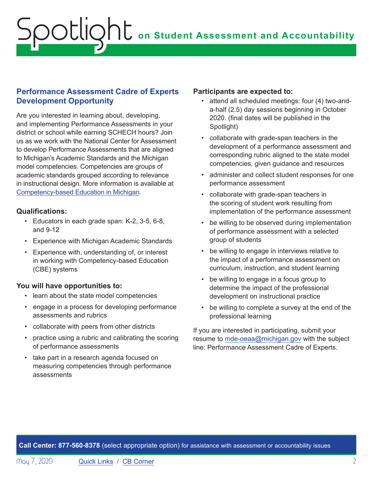#### <span id="page-1-0"></span>**Performance Assessment Cadre of Experts Development Opportunity**

Are you interested in learning about, developing, and implementing Performance Assessments in your district or school while earning SCHECH hours? Join us as we work with the National Center for Assessment to develop Performance Assessments that are aligned to Michigan's Academic Standards and the Michigan model competencies. Competencies are groups of academic standards grouped according to relevance in instructional design. More information is available at [Competency-based Education in Michigan.](https://www.michigan.gov/mde/0,4615,7-140-28753_65803-322532--,00.html)

#### **Qualifications:**

- Educators in each grade span: K-2, 3-5, 6-8, and 9-12
- Experience with Michigan Academic Standards
- Experience with, understanding of, or interest in working with Competency-based Education (CBE) systems

#### **You will have opportunities to:**

- learn about the state model competencies
- engage in a process for developing performance assessments and rubrics
- collaborate with peers from other districts
- practice using a rubric and calibrating the scoring of performance assessments
- take part in a research agenda focused on measuring competencies through performance assessments

#### **Participants are expected to:**

- attend all scheduled meetings: four (4) two-anda-half (2.5) day sessions beginning in October 2020. (final dates will be published in the Spotlight)
- collaborate with grade-span teachers in the development of a performance assessment and corresponding rubric aligned to the state model competencies, given guidance and resources
- administer and collect student responses for one performance assessment
- collaborate with grade-span teachers in the scoring of student work resulting from implementation of the performance assessment
- be willing to be observed during implementation of performance assessment with a selected group of students
- be willing to engage in interviews relative to the impact of a performance assessment on curriculum, instruction, and student learning
- be willing to engage in a focus group to determine the impact of the professional development on instructional practice
- be willing to complete a survey at the end of the professional learning

If you are interested in participating, submit your resume to [mde-oeaa@michigan.gov](mailto:mde-oeaa%40michigan.gov?subject=Performance%20Assessment%20Cadre%20of%20Experts) with the subject line: Performance Assessment Cadre of Experts.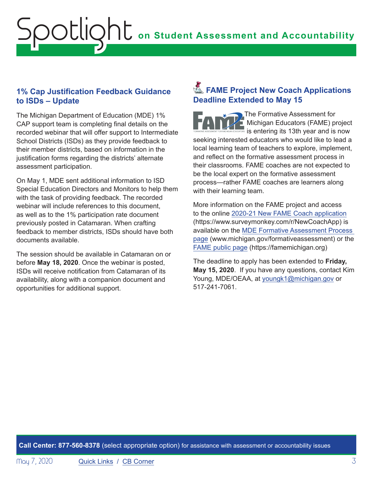# <span id="page-2-0"></span>**on Student Assessment and Accountability** Spotlight

#### **1% Cap Justification Feedback Guidance to ISDs – Update**

The Michigan Department of Education (MDE) 1% CAP support team is completing final details on the recorded webinar that will offer support to Intermediate School Districts (ISDs) as they provide feedback to their member districts, based on information in the justification forms regarding the districts' alternate assessment participation.

On May 1, MDE sent additional information to ISD Special Education Directors and Monitors to help them with the task of providing feedback. The recorded webinar will include references to this document, as well as to the 1% participation rate document previously posted in Catamaran. When crafting feedback to member districts, ISDs should have both documents available.

The session should be available in Catamaran on or before **May 18, 2020**. Once the webinar is posted, ISDs will receive notification from Catamaran of its availability, along with a companion document and opportunities for additional support.

### **Example 12 FAME Project New Coach Applications Deadline Extended to May 15**

The Formative Assessment for Michigan Educators (FAME) project is entering its 13th year and is now seeking interested educators who would like to lead a local learning team of teachers to explore, implement, and reflect on the formative assessment process in their classrooms. FAME coaches are not expected to be the local expert on the formative assessment process—rather FAME coaches are learners along with their learning team.

More information on the FAME project and access to the online [2020-21 New FAME Coach application](https://www.surveymonkey.com/r/NewCoachApp) (https://www.surveymonkey.com/r/NewCoachApp) is available on the [MDE Formative Assessment Process](http://www.michigan.gov/formativeassessment)  [page](http://www.michigan.gov/formativeassessment) (www.michigan.gov/formativeassessment) or the [FAME public page](https://famemichigan.org) (https://famemichigan.org)

The deadline to apply has been extended to **Friday, May 15, 2020**. If you have any questions, contact Kim Young, MDE/OEAA, at [youngk1@michigan.gov](mailto:youngk1%40michigan.gov?subject=) or 517-241-7061.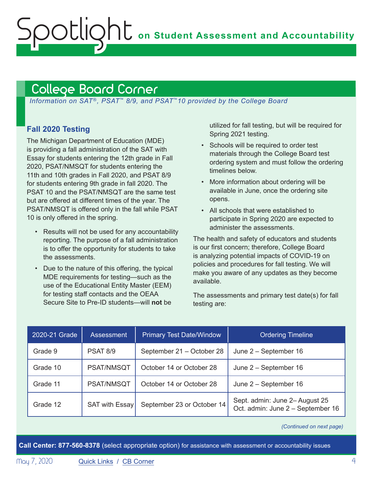## College Board Corner

<span id="page-3-0"></span>Spotlight

*Information on SAT*®*, PSAT*™ *8/9, and PSAT*™*10 provided by the College Board*

#### **Fall 2020 Testing**

The Michigan Department of Education (MDE) is providing a fall administration of the SAT with Essay for students entering the 12th grade in Fall 2020, PSAT/NMSQT for students entering the 11th and 10th grades in Fall 2020, and PSAT 8/9 for students entering 9th grade in fall 2020. The PSAT 10 and the PSAT/NMSQT are the same test but are offered at different times of the year. The PSAT/NMSQT is offered only in the fall while PSAT 10 is only offered in the spring.

- Results will not be used for any accountability reporting. The purpose of a fall administration is to offer the opportunity for students to take the assessments.
- Due to the nature of this offering, the typical MDE requirements for testing—such as the use of the Educational Entity Master (EEM) for testing staff contacts and the OEAA Secure Site to Pre-ID students—will **not** be

utilized for fall testing, but will be required for Spring 2021 testing.

- Schools will be required to order test materials through the College Board test ordering system and must follow the ordering timelines below.
- More information about ordering will be available in June, once the ordering site opens.
- All schools that were established to participate in Spring 2020 are expected to administer the assessments.

The health and safety of educators and students is our first concern; therefore, College Board is analyzing potential impacts of COVID-19 on policies and procedures for fall testing. We will make you aware of any updates as they become available.

The assessments and primary test date(s) for fall testing are:

| 2020-21 Grade | <b>Assessment</b> | <b>Primary Test Date/Window</b> | <b>Ordering Timeline</b>                                            |
|---------------|-------------------|---------------------------------|---------------------------------------------------------------------|
| Grade 9       | <b>PSAT 8/9</b>   | September 21 - October 28       | June 2 – September 16                                               |
| Grade 10      | PSAT/NMSQT        | October 14 or October 28        | June 2 - September 16                                               |
| Grade 11      | PSAT/NMSQT        | October 14 or October 28        | June 2 - September 16                                               |
| Grade 12      | SAT with Essay    | September 23 or October 14      | Sept. admin: June 2- August 25<br>Oct. admin: June 2 - September 16 |

*(Continued on next page)*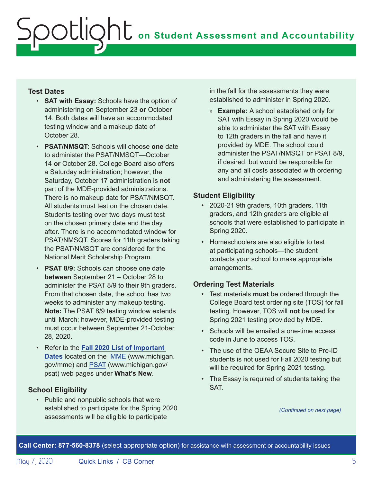#### **Test Dates**

- **SAT with Essay:** Schools have the option of administering on September 23 **or** October 14. Both dates will have an accommodated testing window and a makeup date of October 28.
- **PSAT/NMSQT:** Schools will choose **one** date to administer the PSAT/NMSQT—October 14 **or** October 28. College Board also offers a Saturday administration; however, the Saturday, October 17 administration is **not**  part of the MDE-provided administrations. There is no makeup date for PSAT/NMSQT. All students must test on the chosen date. Students testing over two days must test on the chosen primary date and the day after. There is no accommodated window for PSAT/NMSQT. Scores for 11th graders taking the PSAT/NMSQT are considered for the National Merit Scholarship Program.
- **PSAT 8/9:** Schools can choose one date **between** September 21 – October 28 to administer the PSAT 8/9 to their 9th graders. From that chosen date, the school has two weeks to administer any makeup testing. **Note:** The PSAT 8/9 testing window extends until March; however, MDE-provided testing must occur between September 21-October 28, 2020.
- Refer to the **[Fall 2020 List of Important](https://www.michigan.gov/documents/mde/Fall_2020_List_of_Important_Dates_689777_7.pdf)  [Dates](https://www.michigan.gov/documents/mde/Fall_2020_List_of_Important_Dates_689777_7.pdf)** located on the [MME](www.michigan.gov/mme) (www.michigan. gov/mme) and [PSAT](http://www.michigan.gov/psat) (www.michigan.gov/ psat) web pages under **What's New**.

#### **School Eligibility**

• Public and nonpublic schools that were established to participate for the Spring 2020 assessments will be eligible to participate

in the fall for the assessments they were established to administer in Spring 2020.

» **Example:** A school established only for SAT with Essay in Spring 2020 would be able to administer the SAT with Essay to 12th graders in the fall and have it provided by MDE. The school could administer the PSAT/NMSQT or PSAT 8/9, if desired, but would be responsible for any and all costs associated with ordering and administering the assessment.

#### **Student Eligibility**

- 2020-21 9th graders, 10th graders, 11th graders, and 12th graders are eligible at schools that were established to participate in Spring 2020.
- Homeschoolers are also eligible to test at participating schools—the student contacts your school to make appropriate arrangements.

#### **Ordering Test Materials**

- Test materials **must** be ordered through the College Board test ordering site (TOS) for fall testing. However, TOS will **not** be used for Spring 2021 testing provided by MDE.
- Schools will be emailed a one-time access code in June to access TOS.
- The use of the OEAA Secure Site to Pre-ID students is not used for Fall 2020 testing but will be required for Spring 2021 testing.
- The Essay is required of students taking the SAT.

*(Continued on next page)*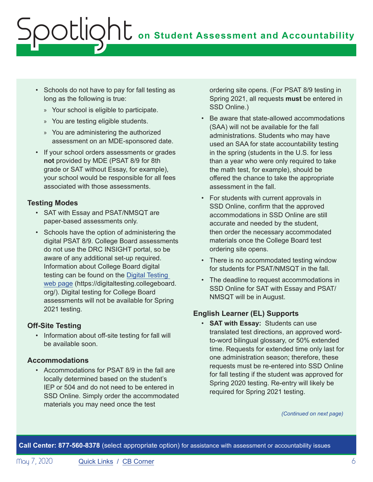- Schools do not have to pay for fall testing as long as the following is true:
	- » Your school is eligible to participate.
	- » You are testing eligible students.
	- » You are administering the authorized assessment on an MDE-sponsored date.
- If your school orders assessments or grades **not** provided by MDE (PSAT 8/9 for 8th grade or SAT without Essay, for example), your school would be responsible for all fees associated with those assessments.

#### **Testing Modes**

- SAT with Essay and PSAT/NMSQT are paper-based assessments only.
- Schools have the option of administering the digital PSAT 8/9. College Board assessments do not use the DRC INSIGHT portal, so be aware of any additional set-up required. Information about College Board digital testing can be found on the [Digital Testing](https://digitaltesting.collegeboard.org/)  [web page](https://digitaltesting.collegeboard.org/) (https://digitaltesting.collegeboard. org/). Digital testing for College Board assessments will not be available for Spring 2021 testing.

#### **Off-Site Testing**

• Information about off-site testing for fall will be available soon.

#### **Accommodations**

• Accommodations for PSAT 8/9 in the fall are locally determined based on the student's IEP or 504 and do not need to be entered in SSD Online. Simply order the accommodated materials you may need once the test

ordering site opens. (For PSAT 8/9 testing in Spring 2021, all requests **must** be entered in SSD Online.)

- Be aware that state-allowed accommodations (SAA) will not be available for the fall administrations. Students who may have used an SAA for state accountability testing in the spring (students in the U.S. for less than a year who were only required to take the math test, for example), should be offered the chance to take the appropriate assessment in the fall.
- For students with current approvals in SSD Online, confirm that the approved accommodations in SSD Online are still accurate and needed by the student, then order the necessary accommodated materials once the College Board test ordering site opens.
- There is no accommodated testing window for students for PSAT/NMSQT in the fall.
- The deadline to request accommodations in SSD Online for SAT with Essay and PSAT/ NMSQT will be in August.

#### **English Learner (EL) Supports**

• **SAT with Essay:** Students can use translated test directions, an approved wordto-word bilingual glossary, or 50% extended time. Requests for extended time only last for one administration season; therefore, these requests must be re-entered into SSD Online for fall testing if the student was approved for Spring 2020 testing. Re-entry will likely be required for Spring 2021 testing.

*(Continued on next page)*